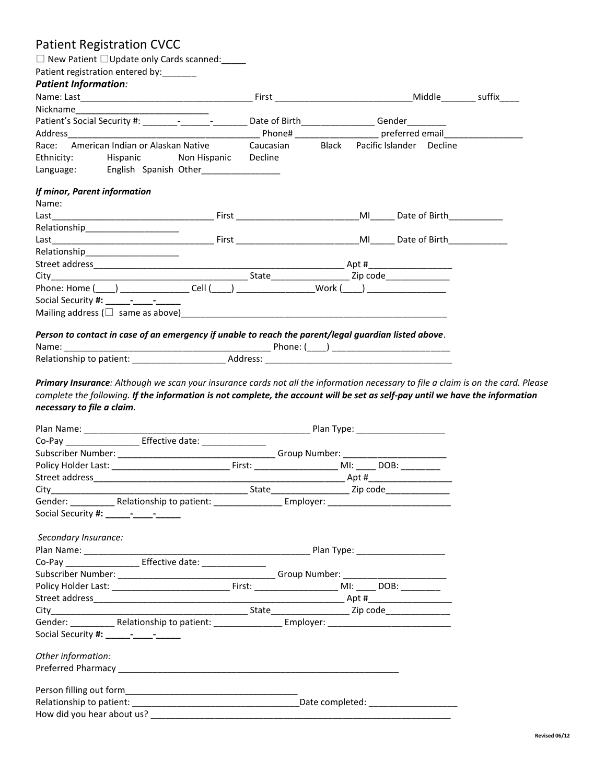# Patient Registration CVCC □ New Patient □Update only Cards scanned:\_\_\_\_\_ Patient registration entered by: *Patient Information:* Name: Last\_\_\_\_\_\_\_\_\_\_\_\_\_\_\_\_\_\_\_\_\_\_\_\_\_\_\_\_\_\_\_\_\_\_\_ First \_\_\_\_\_\_\_\_\_\_\_\_\_\_\_\_\_\_\_\_\_\_\_\_\_\_\_\_Middle\_\_\_\_\_\_\_ suffix\_\_\_\_ Nickname Patient's Social Security #:  $\qquad \qquad -$  Date of Birth Gender Address and the control of the control of the Phone# the control of preferred email Race: American Indian or Alaskan Native Caucasian Black Pacific Islander Decline Ethnicity: Hispanic Non Hispanic Decline Language: English Spanish Other\_\_\_\_\_\_\_\_\_\_\_\_\_\_\_\_ *If minor, Parent information* Name: Last\_\_\_\_\_\_\_\_\_\_\_\_\_\_\_\_\_\_\_\_\_\_\_\_\_\_\_\_\_\_\_\_\_ First \_\_\_\_\_\_\_\_\_\_\_\_\_\_\_\_\_\_\_\_\_\_\_\_\_MI\_\_\_\_\_ Date of Birth\_\_\_\_\_\_\_\_\_\_\_ Relationship\_\_\_\_\_\_\_\_\_\_\_\_\_\_\_\_\_\_\_\_\_\_\_ Last\_\_\_\_\_\_\_\_\_\_\_\_\_\_\_\_\_\_\_\_\_\_\_\_\_\_\_\_\_\_\_\_\_ First \_\_\_\_\_\_\_\_\_\_\_\_\_\_\_\_\_\_\_\_\_\_\_\_\_MI\_\_\_\_\_ Date of Birth\_\_\_\_\_\_\_\_\_\_\_\_ Relationship Street address\_\_\_\_\_\_\_\_\_\_\_\_\_\_\_\_\_\_\_\_\_\_\_\_\_\_\_\_\_\_\_\_\_\_\_\_\_\_\_\_\_\_\_\_\_\_\_\_\_\_\_ Apt #\_\_\_\_\_\_\_\_\_\_\_\_\_\_\_\_\_ City the contract of the contract of the State of the Zip code of the Zip code of the City of the City of the City of the City of the City of the City of the City of the City of the City of the City of the City of the City Phone: Home (\_\_\_\_) \_\_\_\_\_\_\_\_\_\_\_\_\_\_\_\_\_Cell (\_\_\_\_) \_\_\_\_\_\_\_\_\_\_\_\_\_\_\_\_\_\_Work (\_\_\_\_) \_\_\_\_\_\_\_\_\_\_\_\_\_\_\_\_\_\_\_\_\_ Social Security **#: \_\_\_\_\_-\_\_\_\_-\_\_\_\_\_** Mailing address (□ same as above)\_\_\_\_\_\_\_\_\_\_\_\_\_\_\_\_\_\_\_\_\_\_\_\_\_\_\_\_\_\_\_\_\_\_\_\_\_\_\_\_\_\_\_\_\_\_\_\_\_\_\_\_\_\_ *Person to contact in case of an emergency if unable to reach the parent/legal guardian listed above.* Name: \_\_\_\_\_\_\_\_\_\_\_\_\_\_\_\_\_\_\_\_\_\_\_\_\_\_\_\_\_\_\_\_\_\_\_\_\_\_\_\_\_\_ Phone: (\_\_\_\_) \_\_\_\_\_\_\_\_\_\_\_\_\_\_\_\_\_\_\_\_\_\_\_\_ Relationship to patient: \_\_\_\_\_\_\_\_\_\_\_\_\_\_\_\_\_\_\_ Address: \_\_\_\_\_\_\_\_\_\_\_\_\_\_\_\_\_\_\_\_\_\_\_\_\_\_\_\_\_\_\_\_\_\_\_\_\_\_ *Primary Insurance: Although we scan your insurance cards not all the information necessary to file a claim is on the card. Please complete the following. If the information is not complete, the account will be set as self-pay until we have the information necessary to file a claim.* Plan Name: \_\_\_\_\_\_\_\_\_\_\_\_\_\_\_\_\_\_\_\_\_\_\_\_\_\_\_\_\_\_\_\_\_\_\_\_\_\_\_\_\_\_\_\_\_\_ Plan Type: \_\_\_\_\_\_\_\_\_\_\_\_\_\_\_\_\_\_ Co-Pay **Effective date:** Subscriber Number: \_\_\_\_\_\_\_\_\_\_\_\_\_\_\_\_\_\_\_\_\_\_\_\_\_\_\_\_\_\_\_\_ Group Number: \_\_\_\_\_\_\_\_\_\_\_\_\_\_\_\_\_\_\_\_\_ Policy Holder Last: \_\_\_\_\_\_\_\_\_\_\_\_\_\_\_\_\_\_\_\_\_\_\_\_\_\_\_\_\_\_\_\_\_First: \_\_\_\_\_\_\_\_\_\_\_\_\_\_\_\_\_\_\_\_\_\_ MI: \_\_\_\_\_\_ DOB: \_\_\_\_\_\_\_\_\_\_\_ Street address\_\_\_\_\_\_\_\_\_\_\_\_\_\_\_\_\_\_\_\_\_\_\_\_\_\_\_\_\_\_\_\_\_\_\_\_\_\_\_\_\_\_\_\_\_\_\_\_\_\_\_ Apt #\_\_\_\_\_\_\_\_\_\_\_\_\_\_\_\_\_ City\_\_\_\_\_\_\_\_\_\_\_\_\_\_\_\_\_\_\_\_\_\_\_\_\_\_\_\_\_\_\_\_\_\_\_\_\_\_\_\_ State\_\_\_\_\_\_\_\_\_\_\_\_\_\_\_\_ Zip code\_\_\_\_\_\_\_\_\_\_\_\_\_ Gender: \_\_\_\_\_\_\_\_\_\_\_ Relationship to patient: \_\_\_\_\_\_\_\_\_\_\_\_\_\_\_\_ Employer: \_\_\_\_\_\_\_\_\_\_\_\_\_\_\_\_\_\_\_\_\_\_\_\_\_\_\_

| Secondary Insurance:                                              |  |  |
|-------------------------------------------------------------------|--|--|
|                                                                   |  |  |
| Co-Pay _______________________ Effective date: __________________ |  |  |
|                                                                   |  |  |
|                                                                   |  |  |
|                                                                   |  |  |
|                                                                   |  |  |
|                                                                   |  |  |
|                                                                   |  |  |
| Other information:                                                |  |  |
|                                                                   |  |  |
|                                                                   |  |  |
|                                                                   |  |  |
|                                                                   |  |  |